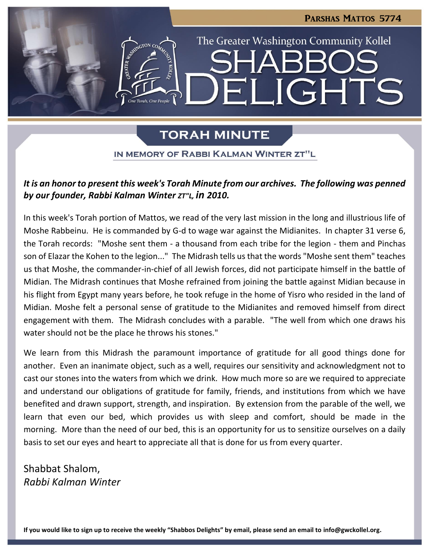

# **TORAH MINUTE**

### IN MEMORY OF RABBI KALMAN WINTER ZT"L

## *It is an honor to present this week's Torah Minute from our archives. The following was penned by our founder, Rabbi Kalman Winter ZT"L, in 2010.*

In this week's Torah portion of Mattos, we read of the very last mission in the long and illustrious life of Moshe Rabbeinu. He is commanded by G-d to wage war against the Midianites. In chapter 31 verse 6, the Torah records: "Moshe sent them - a thousand from each tribe for the legion - them and Pinchas son of Elazar the Kohen to the legion..." The Midrash tells us that the words "Moshe sent them" teaches us that Moshe, the commander-in-chief of all Jewish forces, did not participate himself in the battle of Midian. The Midrash continues that Moshe refrained from joining the battle against Midian because in his flight from Egypt many years before, he took refuge in the home of Yisro who resided in the land of Midian. Moshe felt a personal sense of gratitude to the Midianites and removed himself from direct engagement with them. The Midrash concludes with a parable. "The well from which one draws his water should not be the place he throws his stones."

We learn from this Midrash the paramount importance of gratitude for all good things done for another. Even an inanimate object, such as a well, requires our sensitivity and acknowledgment not to cast our stones into the waters from which we drink. How much more so are we required to appreciate and understand our obligations of gratitude for family, friends, and institutions from which we have benefited and drawn support, strength, and inspiration. By extension from the parable of the well, we learn that even our bed, which provides us with sleep and comfort, should be made in the morning. More than the need of our bed, this is an opportunity for us to sensitize ourselves on a daily basis to set our eyes and heart to appreciate all that is done for us from every quarter.

Shabbat Shalom, *Rabbi Kalman Winter*